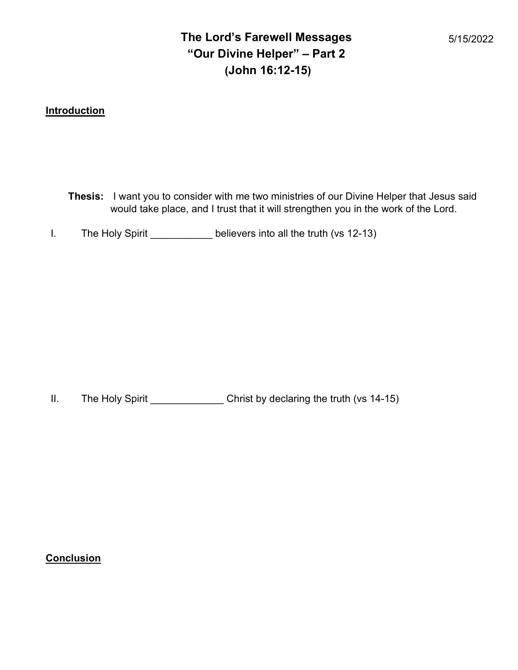# The Lord's Farewell Messages "Our Divine Helper" – Part 2 (John 16:12-15)

# **Introduction**

- Thesis: I want you to consider with me two ministries of our Divine Helper that Jesus said would take place, and I trust that it will strengthen you in the work of the Lord.
- I. The Holy Spirit \_\_\_\_\_\_\_\_\_\_\_ believers into all the truth (vs 12-13)

II. The Holy Spirit \_\_\_\_\_\_\_\_\_\_\_\_\_\_\_\_ Christ by declaring the truth (vs 14-15)

# Conclusion